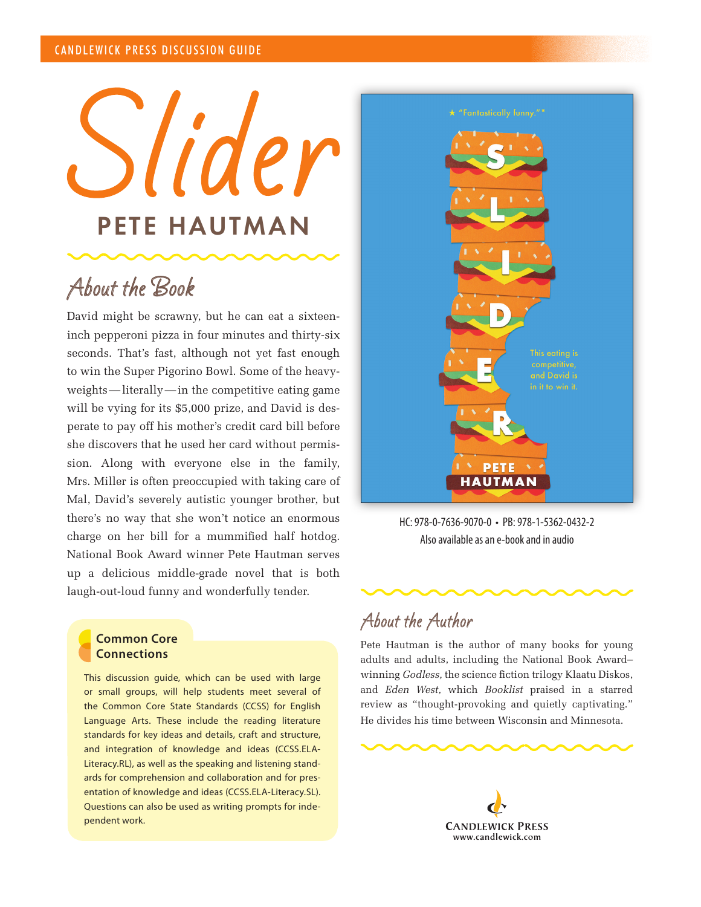Slider PETE HAUTMAN

## About the Book

David might be scrawny, but he can eat a sixteeninch pepperoni pizza in four minutes and thirty-six seconds. That's fast, although not yet fast enough to win the Super Pigorino Bowl. Some of the heavyweights—literally—in the competitive eating game will be vying for its \$5,000 prize, and David is desperate to pay off his mother's credit card bill before she discovers that he used her card without permission. Along with everyone else in the family, Mrs. Miller is often preoccupied with taking care of Mal, David's severely autistic younger brother, but there's no way that she won't notice an enormous charge on her bill for a mummified half hotdog. National Book Award winner Pete Hautman serves up a delicious middle-grade novel that is both laugh-out-loud funny and wonderfully tender.

## **Common Core Connections**

This discussion guide, which can be used with large or small groups, will help students meet several of the Common Core State Standards (CCSS) for English Language Arts. These include the reading literature standards for key ideas and details, craft and structure, and integration of knowledge and ideas (CCSS.ELA-Literacy.RL), as well as the speaking and listening standards for comprehension and collaboration and for presentation of knowledge and ideas (CCSS.ELA-Literacy.SL). Questions can also be used as writing prompts for independent work.



HC: 978-0-7636-9070-0 • PB: 978-1-5362-0432-2 Also available as an e-book and in audio



## About the Author

Pete Hautman is the author of many books for young adults and adults, including the National Book Award– winning *Godless,* the science fiction trilogy Klaatu Diskos, and *Eden West,* which *Booklist* praised in a starred review as "thought-provoking and quietly captivating." He divides his time between Wisconsin and Minnesota.